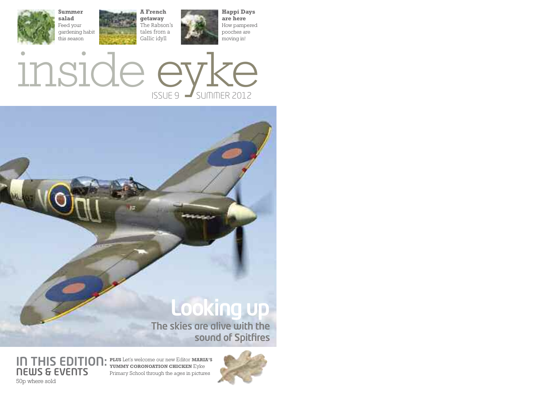



# **Looking up**

**The skies are alive with the sound of Spitfires**

IN THIS **EDITION:** PLUS Let's welcome our new Editor MARIA'S **NEWS & EVENTS** 50p where sold

**YUMMY CORONOATION CHICKEN** Eyke Primary School through the ages in pictures

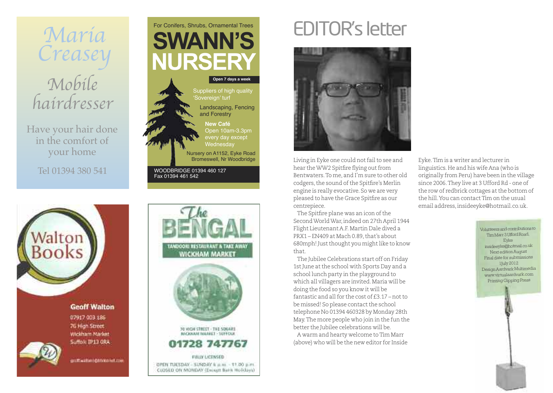

Have your hair done in the comfort of your home

Tel 01394 380 541



Suffolk IP13 ORA

cuttiwittin (@thnocahet.com





**FULLY LICENSED** OFEN TUESDAY - SUNDAY 6 a.m. - 11.00 ji.m. CLOSED ON MONDAY (Except Barn Holidays)

## EDITOR's letter



Living in Eyke one could not fail to see and hear the WW2 Spitfire flying out from Bentwaters.To me, and I'm sure to other old codgers, the sound of the Spitfire's Merlin engine is really evocative. So we are very pleased to have the Grace Spitfire as our centrepiece.

The Spitfire plane was an icon of the SecondWorldWar,indeed on 27th April 1944 Flight Lieutenant A.F.Martin Dale dived a PRX1-EN409 at Mach 0.89, that's about 680mph! Just thought you might like to know that.

The Jubilee Celebrations start off on Friday 1st June at the school with Sports Day and a school lunch party in the playground to which all villagers are invited.Maria will be doing the food so you know it will be fantastic and all for the cost of  $f:3.17$  – not to be missed! So please contact the school telephone No 01394 460328 by Monday 28th May.The more people who join in the fun the better the Jubilee celebrations will be. A warm and hearty welcome to Tim Marr

(above) who will be the new editor for Inside

Eyke.Tim is a writer and lecturer in linguistics.He and his wife Ana (who is originally from Peru) have been in the village since 2006.They live at 3 Ufford Rd - one of the row of redbrick cottages at the bottom of the hill. You can contact Tim on the usual email address,insideeyke@hotmail.co.uk.

> Volunteersandcontributions to TimMarr3UffordRoad, Eyke [insideeyke@hotmail.co.uk](mailto:insideeyke@hotmail.co.uk) Next editionAugust Final date for submissions 1July 2012 DesignAardvark Multimedia www.virtualaardvark.com Printing Gipping Press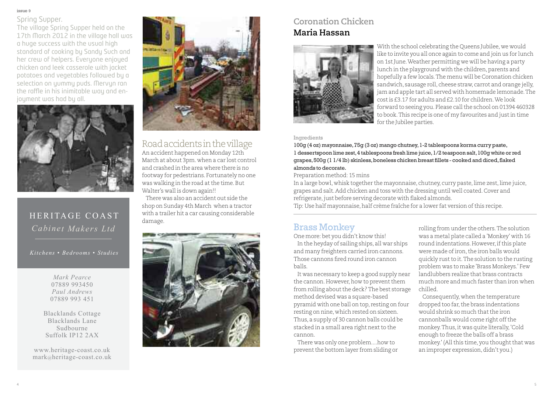#### issue 9

#### Spring Supper.

The village Spring Supper held on the 17th March 2012 in the village hall was a huge success with the usual high standard of cooking by Sandy Such and her crew of helpers. Everyone enjoyed chicken and leek casserole with jacket potatoes and vegetables followed by a selection on yummy puds. Mervyn ran the raffle in his inimitable way and enjoyment was had by all.



### HERITAGE COAST with a tr *Cabinet Makers Ltd*

*Kitchens • Bedrooms • Studies*

*Mark Pearce* 07889 993450 *Paul Andrews* 07889 993 451

Blacklands Cottage Blacklands Lane Sudbourne Suffolk IP12 2AX

www.heritage-coast.co.uk mark@heritage-coast.co.uk



#### Roadaccidentsinthevillage

An accident happened on Monday 12th March at about 3pm. when a car lost control and crashed in the area where there is no footway for pedestrians. Fortunately no one was walking in the road at the time. But Walter's wall is down again!!

There was also an accident out side the shop on Sunday 4th March when a tractor with a trailer hit a car causing considerable



#### **Coronation Chicken Maria Hassan**



With the school celebrating the Queens Jubilee, we would like to invite you all once again to come and join us for lunch on 1stJune.Weather permitting we will be having a party lunch in the playground with the children, parents and hopefully a few locals.The menu will be Coronation chicken sandwich, sausage roll, cheese straw, carrot and orange jelly, jam and apple tart all served with homemade lemonade.The costis £3.17 for adults and £2.10 for children.We look forward to seeing you. Please call the school on 01394 460328 to book.This recipe is one of my favourites and justin time for the Jubilee parties.

#### Ingredients

100g (4 oz) mayonnaise,75g (3 oz) mango chutney,1-2 tablespoons korma curry paste, 1 dessertspoon lime zest,4 tablespoons fresh lime juice,1/2 teaspoon salt,100g white or red grapes,500g (1 1/4 lb) skinless,boneless chicken breast fillets - cooked and diced,flaked almonds to decorate.

Preparation method: 15 mins

In a large bowl, whisk together the mayonnaise, chutney, curry paste, lime zest, lime juice, grapes and salt.Add chicken and toss with the dressing until well coated.Cover and refrigerate, just before serving decorate with flaked almonds.

Tip: Use half mayonnaise, half crème fraîche for a lower fat version of this recipe.

### Brass Monkey

One more: bet you didn't know this!

In the heyday of sailing ships, all war ships and many freighters carried iron cannons. Those cannons fired round iron cannon balls.

It was necessary to keep a good supply near the cannon. However, how to prevent them from rolling about the deck? The best storage method devised was a square-based pyramid with one ball on top, resting on four resting on nine, which rested on sixteen. Thus, a supply of 30 cannon balls could be stacked in a small area right next to the cannon.

There was only one problem....how to prevent the bottom layer from sliding or

rolling from under the others.The solution was a metal plate called a 'Monkey' with 16 round indentations. However, if this plate were made of iron, the iron balls would quickly rust to it. The solution to the rusting problem was to make 'Brass Monkeys.' Few landlubbers realize that brass contracts much more and much faster than iron when chilled.

Consequently, when the temperature dropped too far, the brass indentations would shrink so much thatthe iron cannonballs would come right off the monkey.Thus,it was quite literally, 'Cold enough to freeze the balls off a brass monkey.' (All this time, you thought that was an improper expression, didn't you.)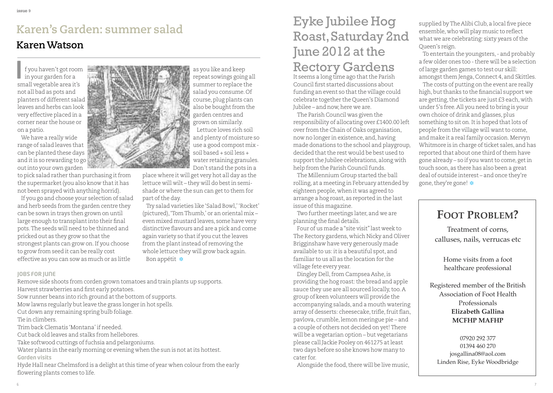## **Karen's Garden: summer salad**

### **KarenWatson**

f you haven't got room in your garden for a  $\begin{array}{l} \rule{0pt}{2.5ex} \textcolor{black}{\textbf{f you haven't got roor}}\\ \text{in your garden for a small vegetable area it's} \end{array}$ not all bad as pots and planters of different salad leaves and herbs can look very effective placed in a corner near the house or on a patio.

We have a really wide range of salad leaves that can be planted these days and itis so rewarding to go outinto your own garden

to pick salad rather than purchasing it from the supermarket(you also know thatit has not been sprayed with anything horrid).

If you go and choose your selection of salad and herb seeds from the garden centre they can be sown in trays then grown on until large enough to transplantinto their final pots.The seeds will need to be thinned and pricked out as they grow so that the strongest plants can grow on.If you choose to grow from seed it can be really cost effective as you can sow as much or as little



as you like and keep repeat sowings going all summer to replace the salad you consume.Of course, plug plants can also be bought from the garden centres and grown on similarly. Lettuce loves rich soil and plenty of moisture so use a good compost mix soil based + soil less + water retaining granules. Don't stand the pots in a

place where it will get very hot all day as the lettuce will wilt – they will do bestin semishade or where the sun can get to them for part of the day.

Try salad varieties like'Salad Bowl,''Rocket' (pictured),'TomThumb,' or an oriental mix – even mixed mustard leaves, some have very distinctive flavours and are a pick and come again variety so that if you cut the leaves from the plantinstead of removing the whole lettuce they will grow back again. Bon appétit \*

#### **JOBS FOR JUNE**

Remove side shoots from corden grown tomatoes and train plants up supports. Harvest strawberries and first early potatoes. Sow runner beans into rich ground at the bottom of supports. Mow lawns regularly butleave the grass longer in hot spells. Cut down any remaining spring bulb foliage. Tie in climbers. Trim back Clematis 'Montana' if needed. Cut back old leaves and stalks from hellebores. Take softwood cuttings of fuchsia and pelargoniums. Water plants in the early morning or evening when the sun is not atits hottest. **Garden visits** Hyde Hall near Chelmsford is a delight atthis time of year when colour from the early flowering plants comes to life.

## Eyke Jubilee Hog Roast,Saturday 2nd June 2012 at the Rectory Gardens

It seems a long time ago that the Parish Council first started discussions about funding an event so that the village could celebrate together the Queen's Diamond Jubilee – and now, here we are.

The Parish Council was given the responsibility of allocating over £1400.00 left over from the Chain of Oaks organisation, now no longer in existence, and, having made donations to the school and playgroup, decided that the rest would be best used to support the Jubilee celebrations, along with help from the Parish Council funds.

The Millennium Group started the ball rolling, at a meeting in February attended by eighteen people, when it was agreed to arrange a hog roast, as reported in the last issue of this magazine.

Two further meetings later, and we are planning the final details.

Four of us made a"site visit"last week to The Rectory gardens, which Nicky and Oliver Brigginshaw have very generously made available to us: itis a beautiful spot, and familiar to us all as the location for the village fete every year.

Dingley Dell, from Campsea Ashe, is providing the hog roast: the bread and apple sauce they use are all sourced locally, too. A group of keen volunteers will provide the accompanying salads, and a mouth watering array of desserts: cheesecake,trifle,fruit flan, pavlova, crumble,lemon meringue pie – and a couple of others not decided on yet!There will be a vegetarian option – but vegetarians please call Jackie Pooley on 461275 atleast two days before so she knows how many to cater for.

Alongside the food, there will be live music,

supplied byThe Alibi Club, a local five piece ensemble, who will play music to reflect what we are celebrating: sixty years of the Queen's reign.

To entertain the youngsters,- and probably a few older ones too -there will be a selection oflarge garden games to test our skill: amongst them Jenga, Connect 4, and Skittles.

The costs of putting on the event are really high, but thanks to the financial support we are getting, the tickets are just £3 each, with under 5's free.All you need to bring is your own choice of drink and glasses, plus something to sit on.Itis hoped thatlots of people from the village will want to come, and make it a real family occasion. Mervyn Whitmore is in charge of ticket sales, and has reported that about one third of them have gone already – so if you want to come, get in touch soon, as there has also been a great deal of outside interest – and once they're gone, they're gone!  $\ast$ 

### **Foot problem?**

Treatment of corns, calluses, nails, verrucas etc

> Home visits from a foot healthcare professional

Registered member of the British Association of Foot Health Professionals **elizabeth Gallina mCFHp mAFHp**

07920 292 377 01394 460 270 josgallina08@aol.com Linden Rise, Eyke Woodbridge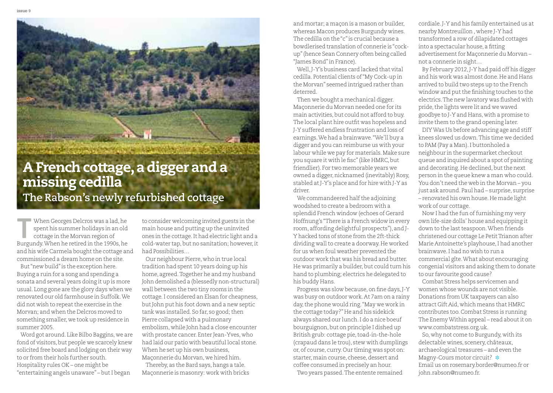

## **missing cedilla The Rabson's newly refurbished cottage**

When Georges Delcros was a lad, he<br>spent his summer holidays in an old<br>cottage in the Morvan region of<br>Puran dy When he rating in the 1999s he spent his summer holidays in an old cottage in the Morvan region of Burgundy. When he retired in the 1990s, he and his wife Carmela bought the cottage and commissioned a dream home on the site.

But"new build"is the exception here. Buying a ruin for a song and spending a sonata and several years doing it up is more usual. Long gone are the glory days when we renovated our old farmhouse in Suffolk.We did not wish to repeat the exercise in the Morvan; and when the Delcros moved to something smaller, we took up residence in summer 2005.

Word got around. Like Bilbo Baggins, we are fond of visitors, but people we scarcely knew solicited free board and lodging on their way to or from their hols further south. Hospitality rules OK – one might be "entertaining angels unaware" – butI began

to consider welcoming invited guests in the main house and putting up the uninvited ones in the cottage.It had electric light and a cold-water tap, but no sanitation; however, it had Possibilities…

Our neighbour Pierre, who in true local tradition had spent 10 years doing up his home, agreed.Together he and my husband John demolished a (blessedly non-structural) wall between the two tiny rooms in the cottage.I considered an Elsan for cheapness, butJohn put his foot down and a new septic tank was installed. So far, so good; then Pierre collapsed with a pulmonary embolism, while John had a close encounter with prostate cancer. Enter Jean-Yves, who had laid our patio with beautiful local stone. When he set up his own business, Maçonnerie du Morvan, we hired him.

Thereby, as the Bard says, hangs a tale. Maçonnerie is masonry: work with bricks and mortar; a maçon is a mason or builder, whereas Macon produces Burgundy wines. The cedilla on the"c"is crucial because a bowdlerised translation of connerie is "cockup"(hence Sean Connery often being called "James Bond"in France).

Well,J-Y's business card lacked that vital cedilla. Potential clients of"My Cock-up in the Morvan" seemed intrigued rather than deterred.

Then we bought a mechanical digger. Maçonnerie du Morvan needed one for its main activities,but could not afford to buy. The local plant hire outfit was hopeless and J-Y suffered endless frustration and loss of earnings.We had a brainwave."We'll buy a digger and you can reimburse us with your labour while we pay for materials.Make sure you square it with le fisc" (like HMRC, but friendlier). For two memorable years we owned a digger, nicknamed (inevitably) Rosy, stabled atJ-Y's place and for hire with J-Y as driver.

We commandeered half the adjoining woodshed to create a bedroom with a splendid French window (echoes of Gerard Hoffnung's "There is a French widow in every room, affording delightful prospects"), and J-Y hacked tons of stone from the 2ft-thick dividing wall to create a doorway. He worked for us when foul weather prevented the outdoor work that was his bread and butter. He was primarily a builder, but could turn his hand to plumbing; electrics he delegated to his buddy Hans.

Progress was slow because, on fine days,J-Y was busy on outdoor work.At 7am on a rainy day, the phone would ring. "May we work in the cottage today?"He and his sidekick always shared our lunch.I do a nice boeuf bourguignon,but on principle I dished up British grub: cottage pie, toad-in-the-hole (crapaud dans le trou), stew with dumplings or, of course, curry.Our timing was spot on: starter,main course, cheese,dessert and coffee consumed in precisely an hour.

Two years passed.The entente remained

cordiale.J-Y and his family entertained us at nearby Montreuillon , where J-Y had transformed a row of dilapidated cottages into a spectacular house, a fitting advertisement for Maconnerie du Morvan – not a connerie in sight…

By February 2012,J-Y had paid off his digger and his work was almost done.He and Hans arrived to build two steps up to the French window and put the finishing touches to the electrics.The new lavatory was flushed with pride, the lights were lit and we waved goodbye to J-Y and Hans, with a promise to invite them to the grand opening later.

DIYWas Us before advancing age and stiff knees slowed us down.This time we decided to PAM (Pay a Man).I buttonholed a neighbour in the supermarket checkout queue and inquired about a spot of painting and decorating. He declined, but the next person in the queue knew a man who could. You don't need the web in the Morvan – you just ask around. Paul had – surprise, surprise – renovated his own house.He made light work of our cottage.

Now I had the fun of furnishing my very own life-size dolls' house and equipping it down to the last teaspoon. When friends christened our cottage Le Petit Trianon after Marie Antoinette's playhouse,I had another brainwave.I had no wish to run a commercial gîte.What about encouraging congenial visitors and asking them to donate to our favourite good cause?

Combat Stress helps servicemen and women whose wounds are not visible. Donations from UK taxpayers can also attract Gift Aid, which means that HMRC contributes too.Combat Stress is running The Enemy Within appeal – read about it on www.combatstress.org.uk.

So, why not come to Burgundy, with its delectable wines, scenery, châteaux, archaeological treasures - and even the Magny-Cours motor circuit?  $\ast$ Email us on rosemary.border@numeo.fr or john.rabson@numeo.fr.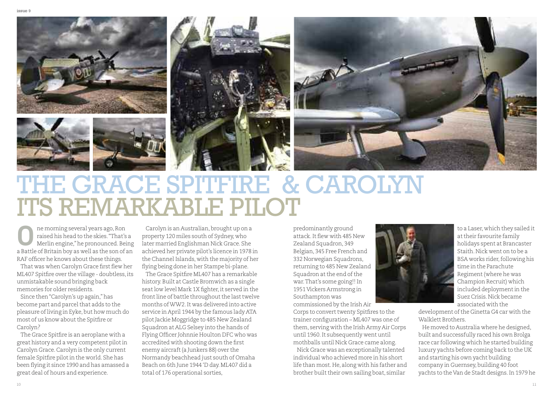









# THE GRACE SPITFIRE & CAROLYN ITS REMARKABLE PILOT

ne morning several years ago,Ron raised his head to the skies."That's a Merlin engine,"he pronounced.Being a Battle of Britain boy as well as the son of an RAF officer he knows about these things. **O** premorning several years ago, Ron Carolyn is an Australian, brought up on a predominantly ground<br>
raised his head to the skies. "That's a property 120 miles south of Sydney, who attack. It flew with 485<br>
Merlin engine,

That was when Carolyn Grace first flew her ML407 Spitfire over the village - doubtless,its unmistakable sound bringing back memories for older residents.

Since then"Carolyn's up again,"has become part and parcel that adds to the pleasure ofliving in Eyke,but how much do most of us know about the Spitfire or Carolyn?

The Grace Spitfire is an aeroplane with a great history and a very competent pilotin Carolyn Grace.Carolyn is the only current female Spitfire pilot in the world. She has been flying it since 1990 and has amassed a great deal of hours and experience.

Carolyn is an Australian, brought up on a property 120 miles south of Sydney, who later married Englishman Nick Grace. She achieved her private pilot's licence in 1978 in the Channel Islands, with the majority of her flying being done in her Stampe bi-plane.

The Grace Spitfire ML407 has a remarkable history.Built at Castle Bromwich as a single seat low level Mark 1X fighter, it served in the front line of battle throughout the last twelve months ofWW2.It was delivered into active service in April 1944 by the famous lady ATA pilotJackie Moggridge to 485 New Zealand Squadron at ALG Selsey into the hands of Flying Officer Johnnie Houlton DFC who was accredited with shooting down the first enemy aircraft(a Junkers 88) over the Normandy beachhead just south of Omaha Beach on 6th June 1944'D day.ML407 did a total of 176 operational sorties,

attack.It flew with 485 New Zealand Squadron, 349 Belgian, 345 Free French and 332 Norwegian Squadrons, returning to 485 New Zealand Squadron at the end of the war.That's some going!! In 1951 Vickers Armstrong in Southampton was commissioned by the Irish Air

Corps to convert twenty Spitfires to the trainer configuration – ML407 was one of them, serving with the Irish Army Air Corps until 1960.It subsequently went until mothballs until Nick Grace came along.

Nick Grace was an exceptionally talented individual who achieved more in his short life than most.He, along with his father and brother built their own sailing boat, similar

to a Laser, which they sailed it attheir favourite family holidays spent at Brancaster Staith.Nick went on to be a BSA works rider, following his time in the Parachute Regiment(where he was Champion Recruit) which included deploymentin the Suez Crisis.Nick became associated with the

development of the Ginetta G4 car with the Walklett Brothers.

He moved to Australia where he designed, built and successfully raced his own Brolga race car following which he started building luxury yachts before coming back to the UK and starting his own yacht building company in Guernsey,building 40 foot yachts to the Van de Stadt designs.In 1979 he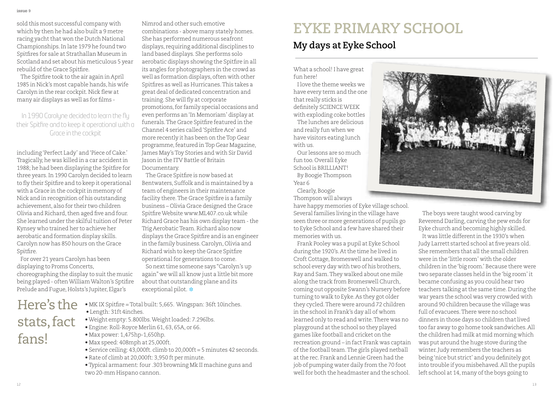sold this most successful company with which by then he had also built a 9 metre racing yacht that won the Dutch National Championships.In late 1979 he found two Spitfires for sale at Strathallan Museum in Scotland and set about his meticulous 5 year rebuild of the Grace Spitfire.

The Spitfire took to the air again in April 1985 in Nick's most capable hands, his wife Carolyn in the rear cockpit.Nick flew at many air displays as well as for films -

In 1990 Carolyne decided to learn the fly their Spitfire and to keep it operational with a Grace in the cockpit

including'Perfect Lady' and'Piece of Cake.' Tragically,he was killed in a car accidentin 1988; he had been displaying the Spitfire for three years.In 1990 Carolyn decided to learn to fly their Spitfire and to keep it operational with a Grace in the cockpit in memory of Nick and in recognition of his outstanding achievement, also for their two children Olivia and Richard, then aged five and four. She learned under the skilful tuition of Peter Kynsey who trained her to achieve her aerobatic and formation display skills. Carolyn now has 850 hours on the Grace Spitfire.

For over 21 years Carolyn has been displaying to Proms Concerts, choreographing the display to suit the music being played - oftenWilliamWalton's Sptifire Prelude and Fugue, Holsts's Jupiter, Elgar's

## Here's the stats, fact fans!

Nimrod and other such emotive combinations - above many stately homes. She has performed numerous seafront displays, requiring additional disciplines to land based displays. She performs solo aerobatic displays showing the Spitfire in all its angles for photographers in the crowd as well as formation displays, often with other Spitfires as well as Hurricanes.This takes a great deal of dedicated concentration and training. She will fly at corporate promotions, for family special occasions and even performs an'In Memoriam' display at funerals.The Grace Spitfire featured in the Channel 4 series called'Spitfire Ace' and more recently it has been on theTop Gear programme, featured in Top Gear Magazine, James May's Toy Stories and with Sir David Jason in the ITV Battle of Britain

Documentary.

The Grace Spitfire is now based at Bentwaters, Suffolk and is maintained by a team of engineers in their maintenance facility there.The Grace Spitfire is a family business – Olivia Grace designed the Grace Spitfire Website www.ML407.co.uk while Richard Grace has his own display team - the Trig Aerobatic Team. Richard also now displays the Grace Spitfire and is an engineer in the family business. Carolyn, Olivia and Richard wish to keep the Grace Spitfire operational for generations to come. So next time someone says "Carolyn's up again" we will all know just a little bit more about that outstanding plane and its exceptional pilot. \*

**EYKE PRIMARY SCHOOL**

### **My days at Eyke School**

What a school! I have great fun here!

I love the theme weeks we have every term and the one that really sticks is definitely SCIENCE WEEK with exploding coke bottles The lunches are delicious and really fun when we have visitors eating lunch

with us. Our lessons are so much fun too.Overall Eyke School is BRILLIANT! By BoogieThompson Year 6

Clearly,Boogie

Thompson will always have happy memories of Eyke village school. Severalfamilies living in the village have seen three or more generations of pupils go to Eyke School and a few have shared their memories with us.

Frank Pooley was a pupil at Eyke School during the 1920's. At the time he lived in Croft Cottage, Bromeswell and walked to school every day with two of his brothers, Ray and Sam.They walked about one mile along the track from Bromeswell Church, coming out opposite Swann's Nursery before turning to walk to Eyke.As they got older they cycled.There were around 72 children in the school in Frank's day all of whom learned only to read and write.There was no playground atthe school so they played games like football and cricket on the recreation ground – in fact Frank was captain of the football team. The girls played netball atthe rec. Frank and Lennie Green had the job of pumping water daily from the 70 foot well for both the headmaster and the school.



The boys were taught wood carving by Reverend Darling, carving the pew ends for Eyke church and becoming highly skilled.

It was little differentin the 1930's when Judy Larrett started school at five years old. She remembers that all the small children were in the'little room' with the older children in the'big room.' Because there were two separate classes held in the'big room' it became confusing as you could hear two teachers talking atthe same time.During the war years the school was very crowded with around 90 children because the village was full of evacuees.There were no school dinners in those days so children that lived too far away to go home took sandwiches.All the children had milk at mid morning which was put around the huge stove during the winter.Judy remembers the teachers as being'nice but strict' and you definitely got into trouble if you misbehaved. All the pupils left school at 14, many of the boys going to

- MK IX Spitfire =Total built: 5,665. Wingspan: 36ft 10inches. • Length: 31ft 4inches.
- •Weight empty: 5.800lbs.Weightloaded: 7.296lbs.
- Engine: Roll-Royce Merlin 61, 63, 65A, or 66.
- Max power: 1,475hp-1,650hp.
- Max speed: 408mph at 25,000ft.
- Service ceiling: 43,000ft. climb to 20,000ft = 5 minutes 42 seconds. • Rate of climb at 20,000ft: 3,950 ft per minute.
- •Typical armament:four .303 browning Mk II machine guns and two 20-mm Hispano cannon.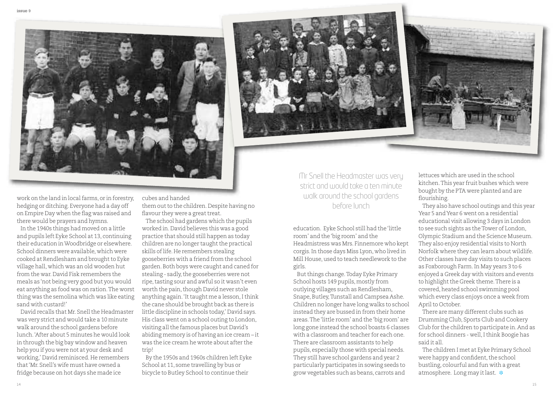issue 9

work on the land in local farms, or in forestry, hedging or ditching. Everyone had a day off on Empire Day when the flag was raised and there would be prayers and hymns.

In the 1940s things had moved on a little and pupils left Eyke School at 13, continuing their education inWoodbridge or elsewhere. School dinners were available, which were cooked at Rendlesham and brought to Eyke village hall, which was an old wooden hut from the war.David Fisk remembers the meals as 'not being very good but you would eat anything as food was on ration.The worst thing was the semolina which was like eating sand with custard!'

David recalls that Mr. Snellthe Headmaster was very strict and would take a 10 minute walk around the school gardens before lunch.'After about 5 minutes he would look in through the big bay window and heaven help you if you were not at your desk and working,' David reminisced.He remembers that'Mr. Snell's wife must have owned a fridge because on hot days she made ice

#### cubes and handed

them out to the children. Despite having no flavour they were a great treat.

The school had gardens which the pupils worked in.David believes this was a good practice that should still happen as today children are no longer taught the practical skills of life. He remembers stealing gooseberries with a friend from the school garden.Both boys were caught and caned for stealing - sadly, the gooseberries were not ripe, tasting sour and awful so it wasn't even worth the pain, though David never stole anything again. 'It taught me a lesson, I think the cane should be brought back as there is little discipline in schools today,' David says. His class went on a school outing to London, visiting all the famous places but David's abiding memory is of having an ice cream – it was the ice cream he wrote about after the trip!

By the 1950s and 1960s children left Eyke School at 11, some travelling by bus or bicycle to Butley School to continue their

Mr Snell the Headmaster was very strict and would take a ten minute walk around the school gardens before lunch

education. Eyke School still had the'little room' and the'big room' and the Headmistress was Mrs. Finnemore who kept corgis.In those days Miss Lyon, who lived in Mill House, used to teach needlework to the girls.

But things change. Today Eyke Primary School hosts 149 pupils, mostly from outlying villages such as Rendlesham, Snape, Butley, Tunstall and Campsea Ashe. Children no longer have long walks to school instead they are bussed in from their home areas.The'little room' and the'big room' are long gone instead the school boasts 6 classes with a classroom and teacher for each one. There are classroom assistants to help pupils, especially those with special needs. They still have school gardens and year 2 particularly participates in sowing seeds to grow vegetables such as beans, carrots and

lettuces which are used in the school kitchen.This year fruit bushes which were bought by the PTA were planted and are flourishing.

They also have school outings and this year Year 5 andYear 6 went on a residential educational visit allowing 3 days in London to see such sights as the Tower of London, Olympic Stadium and the Science Museum. They also enjoy residential visits to North Norfolk where they can learn about wildlife. Other classes have day visits to such places as Foxborough Farm.In May years 3 to 6 enjoyed a Greek day with visitors and events to highlight the Greek theme. There is a covered,heated school swimming pool which every class enjoys once a week from April to October.

There are many different clubs such as Drumming Club, Sports Club and Cookery Club for the children to participate in.And as for school dinners - well, I think Boogie has said it all.

The children I met at Eyke Primary School were happy and confident, the school bustling, colourful and fun with a great atmosphere. Long may it last. \*



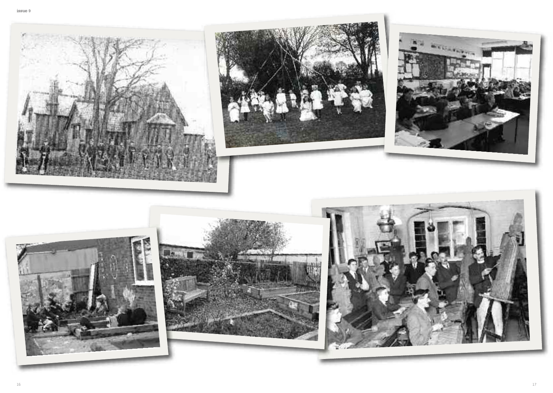

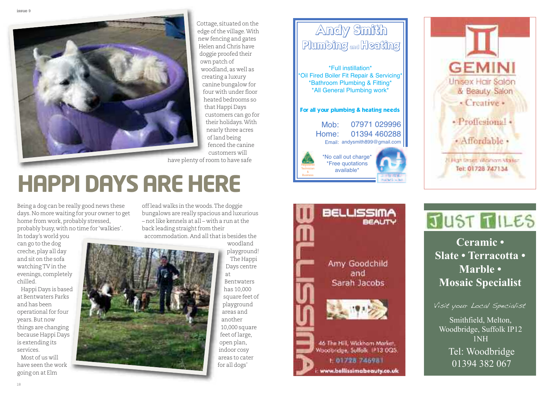

Cottage, situated on the edge of the village. With new fencing and gates Helen and Chris have doggie proofed their own patch of woodland, as well as creating a luxury canine bungalow for four with under floor heated bedrooms so that Happi Days customers can go for their holidays.With nearly three acres ofland being fenced the canine customers will have plenty of room to have safe

# **HAPPIDAYSARE HERE**

Being a dog can be really good news these days.No more waiting for your owner to get home from work, probably stressed. probably busy, with no time for 'walkies'.

In today's world you can go to the dog creche, play all day and sit on the sofa watchingTV in the evenings, completely chilled.

Happi Days is based at Bentwaters Parks and has been operational for four years.But now things are changing because Happi Days is extending its services. Most of us will have seen the work going on at Elm

offlead walks in the woods.The doggie bungalows are really spacious and luxurious – notlike kennels at all – with a run atthe back leading straight from their accommodation.And allthatis besides the

woodland playground! The Happi Days centre at

Bentwaters has 10,000 square feet of playground areas and another 10,000 square feet of large, open plan, indoor cosy areas to cater for all dogs'





www.bellissimabeauty.co.uk



JUST TILES

Mosaic Specialist **Mosaic Specialist Ceramic • Slate • Terracotta • Marble •**

Visit your Local Specialist

Smithfield, Melton, Woodbridge, Suffolk IP12 how much you can save! 1NH Tel: Woodbridge 01394 382 067